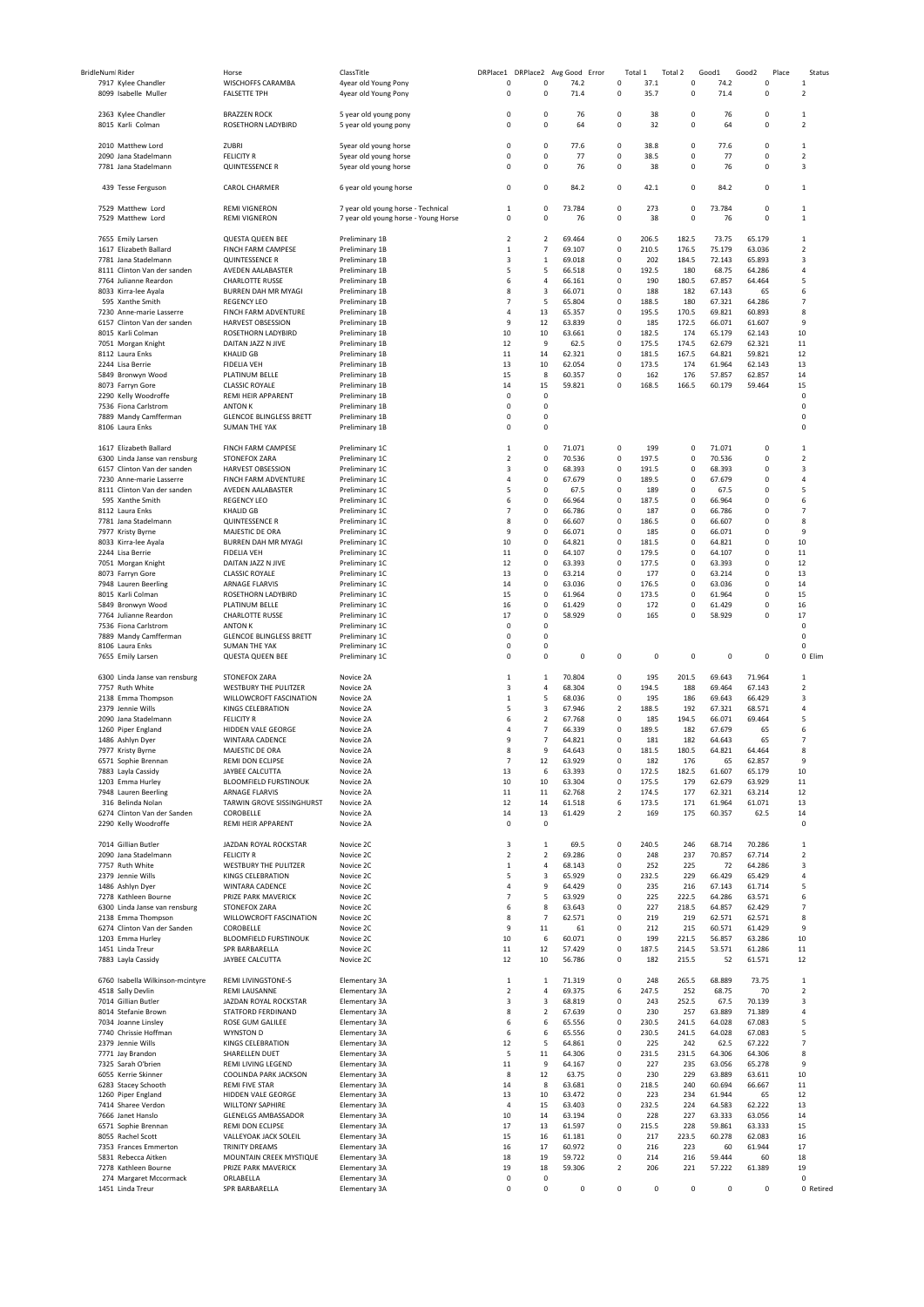| BridleNum Rider |                                            |                                           |                                      |                            |                         |           |       |                                  |         |           |            |                         |
|-----------------|--------------------------------------------|-------------------------------------------|--------------------------------------|----------------------------|-------------------------|-----------|-------|----------------------------------|---------|-----------|------------|-------------------------|
|                 |                                            | Horse                                     | ClassTitle                           | DRPlace1 DRPlace2 Avg Good |                         |           | Error | Total 1                          | Total 2 | Good1     | Good2      | Place<br>Status         |
|                 | 7917 Kylee Chandler                        | WISCHOFFS CARAMBA                         | 4year old Young Pony                 | 0                          | $\circ$                 | 74.2      |       | 37.1<br>$^{\circ}$               | 0       | 74.2      | $\pmb{0}$  | $\mathbf{1}$            |
|                 | 8099 Isabelle Muller                       | <b>FALSETTE TPH</b>                       | 4year old Young Pony                 | $\pmb{0}$                  | 0                       | 71.4      |       | $\pmb{0}$<br>35.7                | 0       | 71.4      | $\pmb{0}$  | $\overline{2}$          |
|                 |                                            |                                           |                                      |                            |                         |           |       |                                  |         |           |            |                         |
|                 | 2363 Kylee Chandler                        | <b>BRAZZEN ROCK</b>                       | 5 year old young pony                | 0                          | 0                       | 76        |       | $\circ$                          | 38<br>0 | 76        | $\pmb{0}$  | 1                       |
|                 |                                            |                                           |                                      |                            |                         |           |       |                                  |         |           |            |                         |
|                 | 8015 Karli Colman                          | ROSETHORN LADYBIRD                        | 5 year old young pony                | $\mathbf 0$                | 0                       | 64        |       | $\theta$                         | 32<br>0 | 64        | $\pmb{0}$  | $\overline{2}$          |
|                 |                                            |                                           |                                      |                            |                         |           |       |                                  |         |           |            |                         |
|                 | 2010 Matthew Lord                          | ZUBRI                                     | Syear old young horse                | $\mathbf 0$                | $\mathsf 0$             | 77.6      |       | $\theta$<br>38.8                 | 0       | 77.6      | $\pmb{0}$  | $\mathbf{1}$            |
|                 | 2090 Jana Stadelmann                       | <b>FELICITY R</b>                         | 5year old young horse                | $\mathbf 0$                | 0                       | 77        |       | 38.5<br>0                        | 0       | 77        | $\pmb{0}$  | $\overline{2}$          |
|                 | 7781 Jana Stadelmann                       | <b>QUINTESSENCE R</b>                     | Syear old young horse                | $\mathbf 0$                | 0                       | 76        |       | $\mathbf 0$                      | 38<br>0 | 76        | $\pmb{0}$  | 3                       |
|                 |                                            |                                           |                                      |                            |                         |           |       |                                  |         |           |            |                         |
|                 |                                            |                                           |                                      |                            |                         |           |       |                                  |         |           |            |                         |
|                 | 439 Tesse Ferguson                         | CAROL CHARMER                             | 6 year old young horse               | 0                          | $\mathsf 0$             | 84.2      |       | $\mathbf 0$<br>42.1              | 0       | 84.2      | $\pmb{0}$  | 1                       |
|                 |                                            |                                           |                                      |                            |                         |           |       |                                  |         |           |            |                         |
|                 | 7529 Matthew Lord                          | REMI VIGNERON                             | 7 year old young horse - Technical   | $\mathbf 1$                | $\pmb{0}$               | 73.784    |       | 0<br>273                         | 0       | 73.784    | $\pmb{0}$  | $\mathbf{1}$            |
|                 | 7529 Matthew Lord                          | <b>REMI VIGNERON</b>                      | 7 year old young horse - Young Horse | $\mathbf 0$                | 0                       | 76        |       | $\mathbf 0$                      | 38<br>0 | 76        | $\pmb{0}$  | $\mathbf{1}$            |
|                 |                                            |                                           |                                      |                            |                         |           |       |                                  |         |           |            |                         |
|                 |                                            | <b>QUESTA QUEEN BEE</b>                   |                                      | $\overline{2}$             |                         | 69.464    |       | $\mathbf 0$<br>206.5             | 182.5   | 73.75     | 65.179     | $\mathbf 1$             |
|                 | 7655 Emily Larsen                          |                                           | Preliminary 1B                       |                            | $\overline{2}$          |           |       |                                  |         |           |            |                         |
|                 | 1617 Elizabeth Ballard                     | FINCH FARM CAMPESE                        | Preliminary 1B                       | $\mathbf 1$                | $\overline{7}$          | 69.107    |       | 210.5<br>$\circ$                 | 176.5   | 75.179    | 63.036     | 2                       |
|                 | 7781 Jana Stadelmann                       | <b>QUINTESSENCE R</b>                     | Preliminary 1B                       | 3                          | $\mathbf{1}$            | 69.018    |       | $\mathbf 0$<br>202               | 184.5   | 72.143    | 65.893     | 3                       |
|                 | 8111 Clinton Van der sanden                | AVEDEN AALABASTER                         | Preliminary 1B                       | 5                          | 5                       | 66.518    |       | $\theta$<br>192.5                | 180     | 68.75     | 64.286     | 4                       |
|                 | 7764 Julianne Reardon                      | <b>CHARLOTTE RUSSE</b>                    | Preliminary 1B                       | 6                          | $\overline{4}$          | 66.161    |       | $\mathbf 0$<br>190               | 180.5   | 67.857    | 64.464     | 5                       |
|                 | 8033 Kirra-lee Ayala                       | BURREN DAH MR MYAGI                       | Preliminary 1B                       | 8                          | 3                       | 66.071    |       | $^{\circ}$<br>188                | 182     | 67.143    | 65         | 6                       |
|                 |                                            |                                           |                                      |                            |                         |           |       |                                  |         |           |            |                         |
|                 | 595 Xanthe Smith                           | <b>REGENCY LEO</b>                        | Preliminary 1B                       | $\overline{7}$             | 5                       | 65.804    |       | $\mathbf 0$<br>188.5             | 180     | 67.321    | 64.286     | $\overline{7}$          |
|                 | 7230 Anne-marie Lasserre                   | FINCH FARM ADVENTURE                      | Preliminary 1B                       | 4                          | 13                      | 65.357    |       | $\mathbf 0$<br>195.5             | 170.5   | 69.821    | 60.893     | 8                       |
|                 | 6157 Clinton Van der sanden                | <b>HARVEST OBSESSION</b>                  | Preliminary 1B                       | 9                          | 12                      | 63.839    |       | $\theta$<br>185                  | 172.5   | 66.071    | 61.607     | 9                       |
|                 | 8015 Karli Colman                          | ROSETHORN LADYBIRD                        | Preliminary 1B                       | 10                         | $10\,$                  | 63.661    |       | $\mathbf 0$<br>182.5             | 174     | 65.179    | 62.143     | 10                      |
|                 | 7051 Morgan Knight                         | DAITAN JAZZ N JIVE                        | Preliminary 1B                       | 12                         | 9                       | 62.5      |       | $\mathbf 0$<br>175.5             | 174.5   | 62.679    | 62.321     | 11                      |
|                 |                                            |                                           |                                      | 11                         | 14                      | 62.321    |       | $\pmb{0}$<br>181.5               |         | 64.821    |            | 12                      |
|                 | 8112 Laura Enks                            | <b>KHALID GB</b>                          | Preliminary 1B                       |                            |                         |           |       |                                  | 167.5   |           | 59.821     |                         |
|                 | 2244 Lisa Berrie                           | <b>FIDELIA VEH</b>                        | Preliminary 1B                       | 13                         | 10                      | 62.054    |       | $\theta$<br>173.5                | 174     | 61.964    | 62.143     | 13                      |
|                 | 5849 Bronwyn Wood                          | PLATINUM BELLE                            | Preliminary 1B                       | 15                         | 8                       | 60.357    |       | $\mathbf 0$<br>162               | 176     | 57.857    | 62.857     | 14                      |
|                 | 8073 Farryn Gore                           | <b>CLASSIC ROYALE</b>                     | Preliminary 1B                       | 14                         | 15                      | 59.821    |       | 168.5<br>$^{\circ}$              | 166.5   | 60.179    | 59.464     | 15                      |
|                 |                                            | REMI HEIR APPARENT                        | Preliminary 1B                       | $\pmb{0}$                  | $\mathbf 0$             |           |       |                                  |         |           |            | $\Omega$                |
|                 | 2290 Kelly Woodroffe                       |                                           |                                      | $\mathbf 0$                |                         |           |       |                                  |         |           |            | 0                       |
|                 | 7536 Fiona Carlstrom                       | <b>ANTON K</b>                            | Preliminary 1B                       |                            | $\mathsf 0$             |           |       |                                  |         |           |            |                         |
|                 | 7889 Mandy Camfferman                      | <b>GLENCOE BLINGLESS BRETT</b>            | Preliminary 1B                       | $\mathbf 0$                | $\pmb{0}$               |           |       |                                  |         |           |            | 0                       |
|                 | 8106 Laura Enks                            | <b>SUMAN THE YAK</b>                      | Preliminary 1B                       | $\mathbf 0$                | 0                       |           |       |                                  |         |           |            | 0                       |
|                 |                                            |                                           |                                      |                            |                         |           |       |                                  |         |           |            |                         |
|                 | 1617 Elizabeth Ballard                     | FINCH FARM CAMPESE                        | Preliminary 1C                       | $\,$ 1                     | $\mathsf 0$             | 71.071    |       | $^{\circ}$<br>199                | 0       | 71.071    | $^{\circ}$ | 1                       |
|                 |                                            |                                           |                                      |                            |                         |           |       |                                  |         |           |            |                         |
|                 | 6300 Linda Janse van rensburg              | <b>STONEFOX ZARA</b>                      | Preliminary 1C                       | $\overline{2}$             | $\mathsf 0$             | 70.536    |       | $\mathbf 0$<br>197.5             | 0       | 70.536    | $\pmb{0}$  | $\overline{2}$          |
|                 | 6157 Clinton Van der sanden                | <b>HARVEST OBSESSION</b>                  | Preliminary 1C                       | 3                          | $\mathbf 0$             | 68.393    |       | 0<br>191.5                       | 0       | 68.393    | $^{\circ}$ | 3                       |
|                 | 7230 Anne-marie Lasserre                   | FINCH FARM ADVENTURE                      | Preliminary 1C                       | $\overline{4}$             | $\mathsf 0$             | 67.679    |       | $\mathbf 0$<br>189.5             | 0       | 67.679    | $\Omega$   | 4                       |
|                 | 8111 Clinton Van der sanden                | AVEDEN AALABASTER                         | Preliminary 1C                       | 5                          | $\mathsf 0$             | 67.5      |       | $\mathbf 0$<br>189               | 0       | 67.5      | $\Omega$   | 5                       |
|                 | 595 Xanthe Smith                           | <b>REGENCY LEO</b>                        | Preliminary 1C                       | 6                          | $\mathsf 0$             | 66.964    |       | $\mathbf 0$<br>187.5             | 0       | 66.964    | $\pmb{0}$  | 6                       |
|                 |                                            |                                           |                                      |                            |                         |           |       |                                  |         |           |            |                         |
|                 | 8112 Laura Enks                            | <b>KHALID GB</b>                          | Preliminary 1C                       | $\overline{7}$             | 0                       | 66.786    |       | $\circ$<br>187                   | 0       | 66.786    | $^{\circ}$ | $\overline{7}$          |
|                 | 7781 Jana Stadelmann                       | <b>QUINTESSENCE R</b>                     | Preliminary 1C                       | 8                          | $\mathsf 0$             | 66.607    |       | $\mathbf 0$<br>186.5             | 0       | 66.607    | $\pmb{0}$  | 8                       |
|                 | 7977 Kristy Byrne                          | MAJESTIC DE ORA                           | Preliminary 1C                       | 9                          | $\mathsf 0$             | 66.071    |       | $\mathbf 0$<br>185               | 0       | 66.071    | $\Omega$   | 9                       |
|                 | 8033 Kirra-lee Ayala                       | BURREN DAH MR MYAGI                       | Preliminary 1C                       | 10                         | $\mathsf 0$             | 64.821    |       | $\mathbf 0$<br>181.5             | 0       | 64.821    | $\pmb{0}$  | 10                      |
|                 |                                            |                                           |                                      |                            | $\mathsf 0$             |           |       | $\circ$                          |         |           | $^{\circ}$ | 11                      |
|                 | 2244 Lisa Berrie                           | <b>FIDELIA VEH</b>                        | Preliminary 1C                       | 11                         |                         | 64.107    |       | 179.5                            | 0       | 64.107    |            |                         |
|                 | 7051 Morgan Knight                         | DAITAN JAZZ N JIVE                        | Preliminary 1C                       | 12                         | $\mathsf 0$             | 63.393    |       | $\mathbf 0$<br>177.5             | 0       | 63.393    | $\Omega$   | 12                      |
|                 | 8073 Farryn Gore                           | <b>CLASSIC ROYALE</b>                     | Preliminary 1C                       | 13                         | $\mathsf 0$             | 63.214    |       | $\mathbf 0$<br>177               | 0       | 63.214    | $\Omega$   | 13                      |
|                 | 7948 Lauren Beerling                       | ARNAGE FLARVIS                            | Preliminary 1C                       | 14                         | $^{\circ}$              | 63.036    |       | 176.5<br>$^{\circ}$              | 0       | 63.036    | $^{\circ}$ | 14                      |
|                 | 8015 Karli Colman                          | ROSETHORN LADYBIRD                        | Preliminary 1C                       | 15                         | $\mathsf 0$             | 61.964    |       | 173.5<br>$\mathbf 0$             | 0       | 61.964    | $\Omega$   | 15                      |
|                 | 5849 Bronwyn Wood                          | PLATINUM BELLE                            | Preliminary 1C                       | 16                         | $\mathsf 0$             | 61.429    |       | $\theta$<br>172                  | 0       | 61.429    | $\pmb{0}$  | 16                      |
|                 |                                            | CHARLOTTE RUSSE                           |                                      | 17                         | $\pmb{0}$               | 58.929    |       | $\Omega$<br>165                  | 0       | 58.929    | $\Omega$   | 17                      |
|                 | 7764 Julianne Reardon                      |                                           | Preliminary 1C                       |                            |                         |           |       |                                  |         |           |            |                         |
|                 | 7536 Fiona Carlstrom                       | <b>ANTON K</b>                            | Preliminary 1C                       | $\pmb{0}$                  | 0                       |           |       |                                  |         |           |            | 0                       |
|                 | 7889 Mandy Camfferman                      | <b>GLENCOE BLINGLESS BRETT</b>            | Preliminary 1C                       | $\mathbf 0$                | 0                       |           |       |                                  |         |           |            | 0                       |
|                 |                                            |                                           | Preliminary 1C                       | $\mathbf 0$                | 0                       |           |       |                                  |         |           |            | 0                       |
|                 | 8106 Laura Enks                            | <b>SUMAN THE YAK</b>                      |                                      |                            |                         |           |       |                                  |         |           |            |                         |
|                 |                                            |                                           |                                      |                            |                         |           |       |                                  |         |           |            |                         |
|                 | 7655 Emily Larsen                          | QUESTA QUEEN BEE                          | Preliminary 1C                       | $\mathbf 0$                | $\pmb{0}$               | $\pmb{0}$ |       | 0                                | 0<br>0  | $\pmb{0}$ | $\pmb{0}$  | 0 Elim                  |
|                 |                                            |                                           |                                      |                            |                         |           |       |                                  |         |           |            |                         |
|                 | 6300 Linda Janse van rensburg              | <b>STONEFOX ZARA</b>                      | Novice 2A                            | $\mathbf 1$                | $\mathbf 1$             | 70.804    |       | 0<br>195                         | 201.5   | 69.643    | 71.964     | $\mathbf 1$             |
|                 | 7757 Ruth White                            | WESTBURY THE PULITZER                     | Novice 2A                            | 3                          | $\overline{4}$          | 68.304    |       | $\mathbf 0$<br>194.5             | 188     | 69.464    | 67.143     | $\overline{2}$          |
|                 | 2138 Emma Thompson                         | WILLOWCROFT FASCINATION                   | Novice 2A                            | $\mathbf 1$                | 5                       | 68.036    |       | $\mathbf 0$<br>195               | 186     | 69.643    | 66.429     | $\overline{\mathbf{3}}$ |
|                 |                                            |                                           |                                      |                            |                         |           |       |                                  |         |           |            |                         |
|                 | 2379 Jennie Wills                          | KINGS CELEBRATION                         | Novice 2A                            | 5                          | 3                       | 67.946    |       | $\overline{2}$<br>188.5          | 192     | 67.321    | 68.571     | 4                       |
|                 | 2090 Jana Stadelmann                       | <b>FELICITY R</b>                         | Novice 2A                            | 6                          | $\mathcal{P}$           | 67.768    |       | $\mathbf 0$<br>185               | 194.5   | 66.071    | 69.464     | 5                       |
|                 | 1260 Piper England                         | HIDDEN VALE GEORGE                        | Novice 2A                            | 4                          | $\overline{7}$          | 66.339    |       | $^{\circ}$<br>189.5              | 182     | 67.679    | 65         | 6                       |
|                 | 1486 Ashlyn Dyer                           | WINTARA CADENCE                           | Novice 2A                            | 9                          | $\overline{7}$          | 64.821    |       | $\mathbf 0$<br>181               | 182     | 64.643    | 65         | $\overline{7}$          |
|                 |                                            |                                           |                                      | 8                          | 9                       |           |       | $\Omega$<br>181.5                | 180.5   | 64.821    |            | 8                       |
|                 | 7977 Kristy Byrne                          | MAJESTIC DE ORA<br><b>REMI DON ECUPSE</b> | Novice 2A                            |                            |                         | 64.643    |       |                                  |         |           | 64.464     |                         |
|                 | 6571 Sophie Brennan                        |                                           | Novice 2A                            | $\overline{7}$             | 12                      | 63.929    |       | 182<br>$\Omega$                  | 176     | 65        | 62.857     | 9                       |
|                 | 7883 Layla Cassidy                         | JAYBEE CALCUTTA                           | Novice 2A                            | 13                         | 6                       | 63.393    |       | 0<br>172.5                       | 182.5   | 61.607    | 65.179     | 10                      |
|                 | 1203 Emma Hurley                           | <b>BLOOMFIELD FURSTINOUK</b>              | Novice 2A                            | 10                         | 10                      | 63.304    |       | $\mathbf 0$<br>175.5             | 179     | 62.679    | 63.929     | 11                      |
|                 | 7948 Lauren Beerling                       | ARNAGE FLARVIS                            | Novice 2A                            | 11                         | 11                      | 62.768    |       | $\overline{\mathbf{c}}$<br>174.5 | 177     | 62.321    | 63.214     | 12                      |
|                 | 316 Belinda Nolan                          |                                           | Novice 2A                            | 12                         | 14                      | 61.518    |       | 173.5                            | 171     |           |            | 13                      |
|                 |                                            | TARWIN GROVE SISSINGHURST                 |                                      |                            |                         |           |       | 6                                |         | 61.964    | 61.071     |                         |
|                 | 6274 Clinton Van der Sanden                | COROBELLE                                 | Novice 2A                            | 14                         | 13                      | 61.429    |       | $\overline{2}$<br>169            | 175     | 60.357    | 62.5       | 14                      |
|                 | 2290 Kelly Woodroffe                       | REMI HEIR APPARENT                        | Novice 2A                            | $\mathbf 0$                | $\mathsf 0$             |           |       |                                  |         |           |            | 0                       |
|                 |                                            |                                           |                                      |                            |                         |           |       |                                  |         |           |            |                         |
|                 | 7014 Gillian Butler                        | JAZDAN ROYAL ROCKSTAR                     | Novice 2C                            | 3                          | $\mathbf{1}$            | 69.5      |       | 240.5<br>$\mathbf 0$             | 246     | 68.714    | 70.286     | $\mathbf 1$             |
|                 | 2090 Jana Stadelmann                       | FFI ICITY R                               | Novice 2C                            | $\overline{\mathbf{2}}$    | $\overline{2}$          | 69.286    |       | 0<br>248                         | 237     | 70.857    | 67.714     | $\overline{\mathbf{2}}$ |
|                 | 7757 Ruth White                            | WESTBURY THE PULITZER                     | Novice 2C                            | $\mathbf 1$                | $\sqrt{4}$              | 68.143    |       | $\mathbf 0$<br>252               | 225     | 72        | 64.286     | 3                       |
|                 |                                            |                                           |                                      |                            |                         |           |       |                                  |         |           |            | 4                       |
|                 | 2379 Jennie Wills                          | KINGS CELEBRATION                         | Novice 2C                            | 5                          | $\overline{\mathbf{3}}$ | 65.929    |       | 232.5<br>$\mathbf 0$             | 229     | 66.429    | 65.429     |                         |
|                 | 1486 Ashlyn Dyer                           | WINTARA CADENCE                           | Novice 2C                            | $\overline{4}$             | 9                       | 64.429    |       | 235<br>$^{\circ}$                | 216     | 67.143    | 61.714     | 5                       |
|                 | 7278 Kathleen Bourne                       | PRIZE PARK MAVERICK                       | Novice 2C                            | $\overline{7}$             | 5                       | 63.929    |       | $\theta$<br>225                  | 222.5   | 64.286    | 63.571     | 6                       |
|                 | 6300 Linda Janse van rensburg              | STONEFOX ZARA                             | Novice 2C                            | 6                          | 8                       | 63.643    |       | 227<br>$^{\circ}$                | 218.5   | 64.857    | 62.429     | $\overline{7}$          |
|                 | 2138 Emma Thompson                         | WILLOWCROFT FASCINATION                   | Novice 2C                            | 8                          | $\overline{7}$          | 62.571    |       | $\mathbf 0$<br>219               | 219     | 62.571    | 62.571     | 8                       |
|                 |                                            | COROBELLE                                 |                                      | 9                          |                         |           |       | $^{\circ}$                       |         |           |            | 9                       |
|                 | 6274 Clinton Van der Sanden                |                                           | Novice 2C                            |                            | $11\,$                  | 61        |       | 212                              | 215     | 60.571    | 61.429     |                         |
|                 | 1203 Emma Hurley                           | <b>BLOOMFIELD FURSTINOUK</b>              | Novice 2C                            | 10                         | 6                       | 60.071    |       | 0<br>199                         | 221.5   | 56.857    | 63.286     | 10                      |
|                 | 1451 Linda Treur                           | SPR BARBARELLA                            | Novice 2C                            | 11                         | 12                      | 57.429    |       | $\mathbf 0$<br>187.5             | 214.5   | 53.571    | 61.286     | 11                      |
|                 | 7883 Layla Cassidy                         | JAYBEE CALCUTTA                           | Novice 2C                            | 12                         | 10                      | 56.786    |       | $\mathbf 0$<br>182               | 215.5   | 52        | 61.571     | 12                      |
|                 |                                            |                                           |                                      |                            |                         |           |       |                                  |         |           |            |                         |
|                 | 6760 Isabella Wilkinson-mcintyre           | <b>REMI LIVINGSTONE-S</b>                 | Elementary 3A                        | $\,$ 1                     | $\mathbf 1$             | 71.319    |       | 0<br>248                         | 265.5   | 68.889    | 73.75      | $\mathbf 1$             |
|                 |                                            |                                           |                                      |                            |                         |           |       |                                  |         |           |            |                         |
|                 | 4518 Sally Devlin                          | REMI LAUSANNE                             | Elementary 3A                        | $\overline{2}$             | $\overline{4}$          | 69.375    |       | 6<br>247.5                       | 252     | 68.75     | 70         | $\overline{2}$          |
|                 | 7014 Gillian Butler                        | JAZDAN ROYAL ROCKSTAR                     | Elementary 3A                        | 3                          | 3                       | 68.819    |       | $\mathbf 0$<br>243               | 252.5   | 67.5      | 70.139     | 3                       |
|                 | 8014 Stefanie Brown                        | STATFORD FERDINAND                        | Elementary 3A                        | 8                          | $\overline{2}$          | 67.639    |       | $\circ$<br>230                   | 257     | 63.889    | 71.389     | 4                       |
|                 | 7034 Joanne Linsley                        | ROSE GUM GALILEE                          | Elementary 3A                        | 6                          | 6                       | 65.556    |       | $\mathbf 0$<br>230.5             | 241.5   | 64.028    | 67.083     | 5                       |
|                 | 7740 Chrissie Hoffman                      | WYNSTON D                                 | Elementary 3A                        | 6                          | 6                       | 65.556    |       | 230.5<br>0                       | 241.5   | 64.028    | 67.083     | 5                       |
|                 | 2379 Jennie Wills                          | KINGS CELEBRATION                         | Elementary 3A                        | 12                         | 5                       | 64.861    |       | $\mathbf 0$<br>225               | 242     | 62.5      | 67.222     | $\overline{7}$          |
|                 |                                            |                                           |                                      |                            |                         |           |       |                                  |         |           |            |                         |
|                 | 7771 Jay Brandon                           | SHARELLEN DUET                            | Elementary 3A                        | 5                          | $11\,$                  | 64.306    |       | 231.5<br>$^{\circ}$              | 231.5   | 64.306    | 64.306     | 8                       |
|                 | 7325 Sarah O'brien                         | REMI LIVING LEGEND                        | Elementary 3A                        | 11                         | 9                       | 64.167    |       | $\theta$<br>227                  | 235     | 63.056    | 65.278     | 9                       |
|                 | 6055 Kerrie Skinner                        | COOLINDA PARK JACKSON                     | Elementary 3A                        | 8                          | 12                      | 63.75     |       | $^{\circ}$<br>230                | 229     | 63.889    | 63.611     | 10                      |
|                 | 6283 Stacey Schooth                        | <b>REMI FIVE STAR</b>                     | Elementary 3A                        | 14                         | 8                       | 63.681    |       | $\mathbf 0$<br>218.5             | 240     | 60.694    | 66.667     | 11                      |
|                 | 1260 Piper England                         | HIDDEN VALE GEORGE                        | Elementary 3A                        | 13                         | 10                      | 63.472    |       | $\circ$<br>223                   | 234     | 61.944    | 65         | 12                      |
|                 |                                            |                                           |                                      |                            |                         |           |       |                                  |         |           |            |                         |
|                 | 7414 Sharee Verdon                         | <b>WILLTONY SAPHIRE</b>                   | Elementary 3A                        | 4                          | 15                      | 63.403    |       | $\mathbf 0$<br>232.5             | 224     | 64.583    | 62.222     | 13                      |
|                 | 7666 Janet Hanslo                          | <b>GLENELGS AMBASSADOR</b>                | Elementary 3A                        | 10                         | 14                      | 63.194    |       | $^{\circ}$<br>228                | 227     | 63.333    | 63.056     | 14                      |
|                 | 6571 Sophie Brennan                        | REMI DON ECLIPSE                          | Elementary 3A                        | 17                         | 13                      | 61.597    |       | $\mathbf 0$<br>215.5             | 228     | 59.861    | 63.333     | 15                      |
|                 | 8055 Rachel Scott                          | VALLEYOAK JACK SOLEIL                     | Elementary 3A                        | 15                         | 16                      | 61.181    |       | $\mathbf 0$<br>217               | 223.5   | 60.278    | 62.083     | 16                      |
|                 | 7353 Frances Emmerton                      | TRINITY DREAMS                            | Elementary 3A                        | 16                         | 17                      | 60.972    |       | $\theta$<br>216                  | 223     | 60        | 61.944     | 17                      |
|                 | 5831 Rebecca Aitken                        | MOUNTAIN CREEK MYSTIQUE                   | Elementary 3A                        | 18                         | 19                      | 59.722    |       | 0<br>214                         | 216     | 59.444    | 60         | 18                      |
|                 |                                            |                                           |                                      |                            |                         |           |       | $\overline{2}$                   |         |           |            | 19                      |
|                 | 7278 Kathleen Bourne                       | PRIZE PARK MAVERICK                       | Elementary 3A                        | 19                         | 18                      | 59.306    |       | 206                              | 221     | 57.222    | 61.389     |                         |
|                 | 274 Margaret Mccormack<br>1451 Linda Treur | ORLABELLA<br>SPR BARBARELLA               | Elementary 3A<br>Elementary 3A       | $\pmb{0}$<br>0             | $\mathsf 0$<br>0        | 0         |       | $\mathbf 0$                      | 0<br>0  | $\pmb{0}$ | 0          | 0<br>0 Retired          |